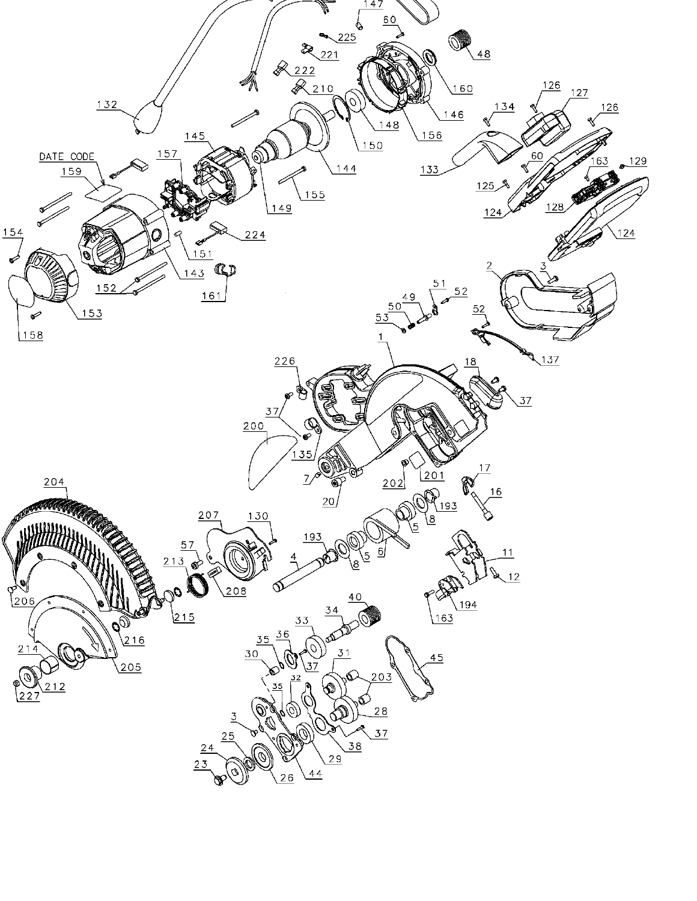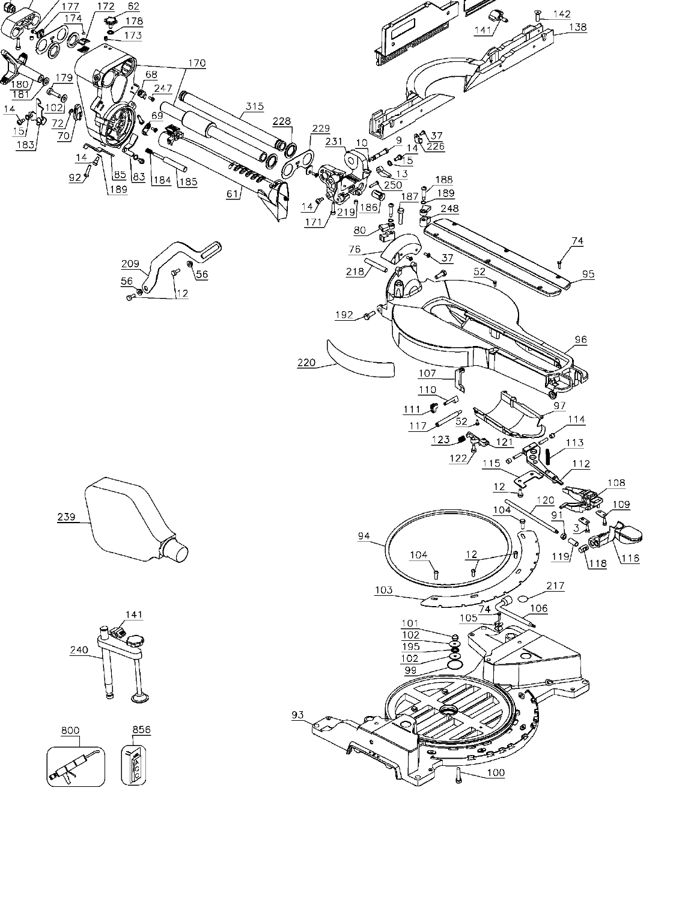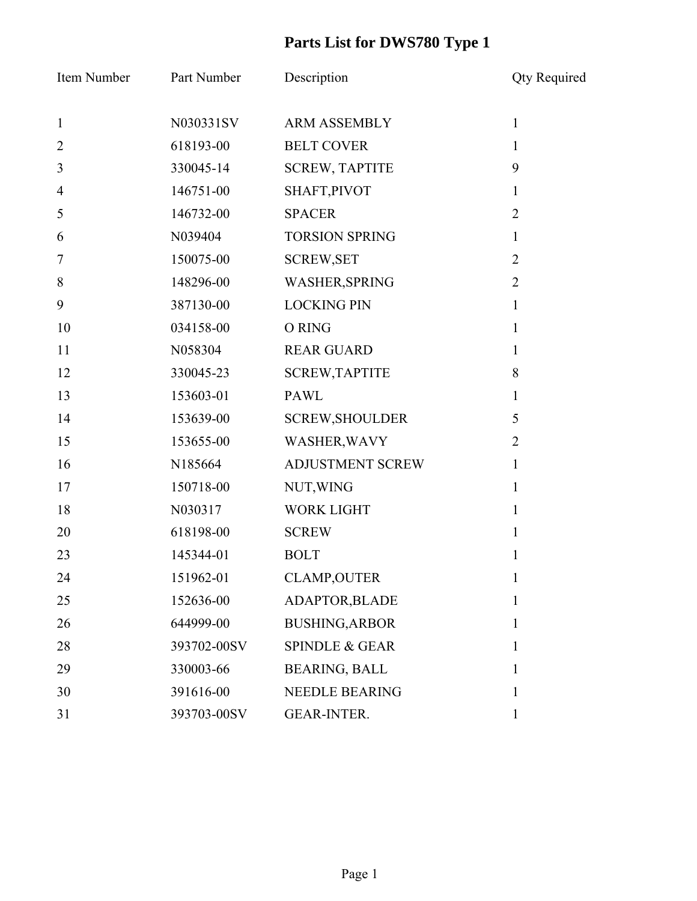| Item Number      | Part Number | Description               | <b>Qty Required</b> |
|------------------|-------------|---------------------------|---------------------|
| $\mathbf{1}$     | N030331SV   | <b>ARM ASSEMBLY</b>       | $\mathbf{1}$        |
| $\overline{2}$   | 618193-00   | <b>BELT COVER</b>         | 1                   |
| 3                | 330045-14   | <b>SCREW, TAPTITE</b>     | 9                   |
| 4                | 146751-00   | SHAFT, PIVOT              | 1                   |
| 5                | 146732-00   | <b>SPACER</b>             | $\overline{2}$      |
| 6                | N039404     | <b>TORSION SPRING</b>     | 1                   |
| $\boldsymbol{7}$ | 150075-00   | <b>SCREW, SET</b>         | $\overline{2}$      |
| 8                | 148296-00   | WASHER, SPRING            | $\overline{2}$      |
| 9                | 387130-00   | <b>LOCKING PIN</b>        | 1                   |
| 10               | 034158-00   | O RING                    | $\mathbf{1}$        |
| 11               | N058304     | <b>REAR GUARD</b>         | $\mathbf{1}$        |
| 12               | 330045-23   | <b>SCREW, TAPTITE</b>     | 8                   |
| 13               | 153603-01   | <b>PAWL</b>               | $\mathbf{1}$        |
| 14               | 153639-00   | <b>SCREW, SHOULDER</b>    | 5                   |
| 15               | 153655-00   | WASHER, WAVY              | $\overline{2}$      |
| 16               | N185664     | <b>ADJUSTMENT SCREW</b>   | $\mathbf{1}$        |
| 17               | 150718-00   | NUT, WING                 | $\mathbf{1}$        |
| 18               | N030317     | <b>WORK LIGHT</b>         | 1                   |
| 20               | 618198-00   | <b>SCREW</b>              | $\mathbf{1}$        |
| 23               | 145344-01   | <b>BOLT</b>               | 1                   |
| 24               | 151962-01   | <b>CLAMP, OUTER</b>       |                     |
| 25               | 152636-00   | ADAPTOR, BLADE            | $\mathbf{1}$        |
| 26               | 644999-00   | <b>BUSHING, ARBOR</b>     | 1                   |
| 28               | 393702-00SV | <b>SPINDLE &amp; GEAR</b> | 1                   |
| 29               | 330003-66   | <b>BEARING, BALL</b>      | 1                   |
| 30               | 391616-00   | <b>NEEDLE BEARING</b>     | 1                   |
| 31               | 393703-00SV | <b>GEAR-INTER.</b>        | 1                   |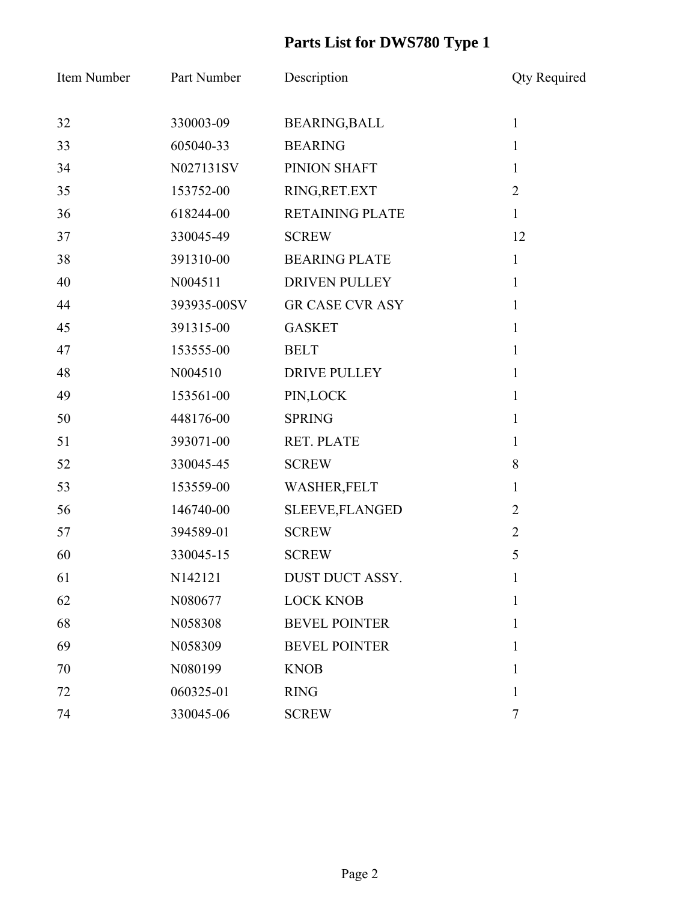| Item Number | Part Number | Description            | <b>Qty Required</b> |
|-------------|-------------|------------------------|---------------------|
| 32          | 330003-09   | <b>BEARING, BALL</b>   | $\mathbf{1}$        |
| 33          | 605040-33   | <b>BEARING</b>         | $\mathbf{1}$        |
| 34          | N027131SV   | PINION SHAFT           | 1                   |
| 35          | 153752-00   | RING, RET. EXT         | $\overline{2}$      |
| 36          | 618244-00   | <b>RETAINING PLATE</b> | $\mathbf{1}$        |
| 37          | 330045-49   | <b>SCREW</b>           | 12                  |
| 38          | 391310-00   | <b>BEARING PLATE</b>   | $\mathbf{1}$        |
| 40          | N004511     | <b>DRIVEN PULLEY</b>   | $\mathbf{1}$        |
| 44          | 393935-00SV | <b>GR CASE CVR ASY</b> | $\mathbf{1}$        |
| 45          | 391315-00   | <b>GASKET</b>          | $\mathbf{1}$        |
| 47          | 153555-00   | <b>BELT</b>            | $\mathbf{1}$        |
| 48          | N004510     | <b>DRIVE PULLEY</b>    | $\mathbf{1}$        |
| 49          | 153561-00   | PIN,LOCK               | $\mathbf{1}$        |
| 50          | 448176-00   | <b>SPRING</b>          | $\mathbf{1}$        |
| 51          | 393071-00   | RET. PLATE             | 1                   |
| 52          | 330045-45   | <b>SCREW</b>           | 8                   |
| 53          | 153559-00   | <b>WASHER, FELT</b>    | $\mathbf{1}$        |
| 56          | 146740-00   | SLEEVE, FLANGED        | $\overline{2}$      |
| 57          | 394589-01   | <b>SCREW</b>           | $\overline{2}$      |
| 60          | 330045-15   | <b>SCREW</b>           | 5                   |
| 61          | N142121     | DUST DUCT ASSY.        | 1                   |
| 62          | N080677     | <b>LOCK KNOB</b>       | $\mathbf{1}$        |
| 68          | N058308     | <b>BEVEL POINTER</b>   | 1                   |
| 69          | N058309     | <b>BEVEL POINTER</b>   | 1                   |
| 70          | N080199     | <b>KNOB</b>            | $\mathbf{1}$        |
| 72          | 060325-01   | <b>RING</b>            | 1                   |
| 74          | 330045-06   | <b>SCREW</b>           | 7                   |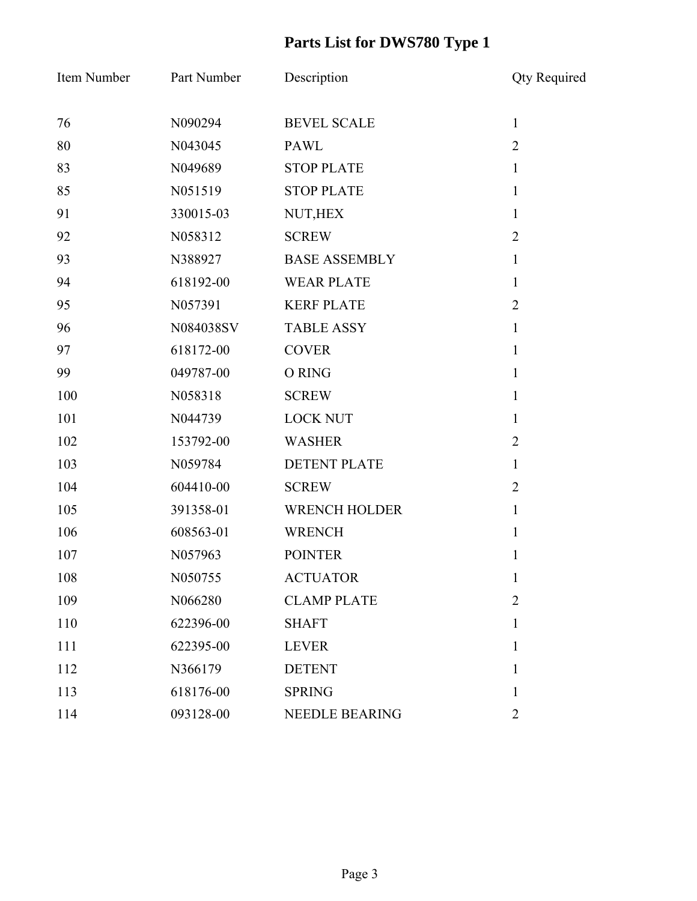| Item Number | Part Number | Description           | <b>Qty Required</b> |
|-------------|-------------|-----------------------|---------------------|
| 76          | N090294     | <b>BEVEL SCALE</b>    | $\mathbf{1}$        |
| 80          | N043045     | <b>PAWL</b>           | $\overline{2}$      |
| 83          | N049689     | <b>STOP PLATE</b>     | $\mathbf{1}$        |
| 85          | N051519     | <b>STOP PLATE</b>     | $\mathbf{1}$        |
| 91          | 330015-03   | NUT, HEX              | $\mathbf{1}$        |
| 92          | N058312     | <b>SCREW</b>          | $\overline{2}$      |
| 93          | N388927     | <b>BASE ASSEMBLY</b>  | $\mathbf{1}$        |
| 94          | 618192-00   | <b>WEAR PLATE</b>     | $\mathbf{1}$        |
| 95          | N057391     | <b>KERF PLATE</b>     | $\overline{2}$      |
| 96          | N084038SV   | <b>TABLE ASSY</b>     | $\mathbf{1}$        |
| 97          | 618172-00   | <b>COVER</b>          | $\mathbf{1}$        |
| 99          | 049787-00   | O RING                | $\mathbf{1}$        |
| 100         | N058318     | <b>SCREW</b>          | $\mathbf{1}$        |
| 101         | N044739     | <b>LOCK NUT</b>       | $\mathbf{1}$        |
| 102         | 153792-00   | <b>WASHER</b>         | $\overline{2}$      |
| 103         | N059784     | <b>DETENT PLATE</b>   | $\mathbf{1}$        |
| 104         | 604410-00   | <b>SCREW</b>          | $\overline{2}$      |
| 105         | 391358-01   | <b>WRENCH HOLDER</b>  | $\mathbf{1}$        |
| 106         | 608563-01   | <b>WRENCH</b>         | $\mathbf{1}$        |
| 107         | N057963     | <b>POINTER</b>        | $\mathbf{1}$        |
| 108         | N050755     | <b>ACTUATOR</b>       | 1                   |
| 109         | N066280     | <b>CLAMP PLATE</b>    | $\overline{2}$      |
| 110         | 622396-00   | <b>SHAFT</b>          | 1                   |
| 111         | 622395-00   | <b>LEVER</b>          | 1                   |
| 112         | N366179     | <b>DETENT</b>         | 1                   |
| 113         | 618176-00   | <b>SPRING</b>         | 1                   |
| 114         | 093128-00   | <b>NEEDLE BEARING</b> | $\overline{2}$      |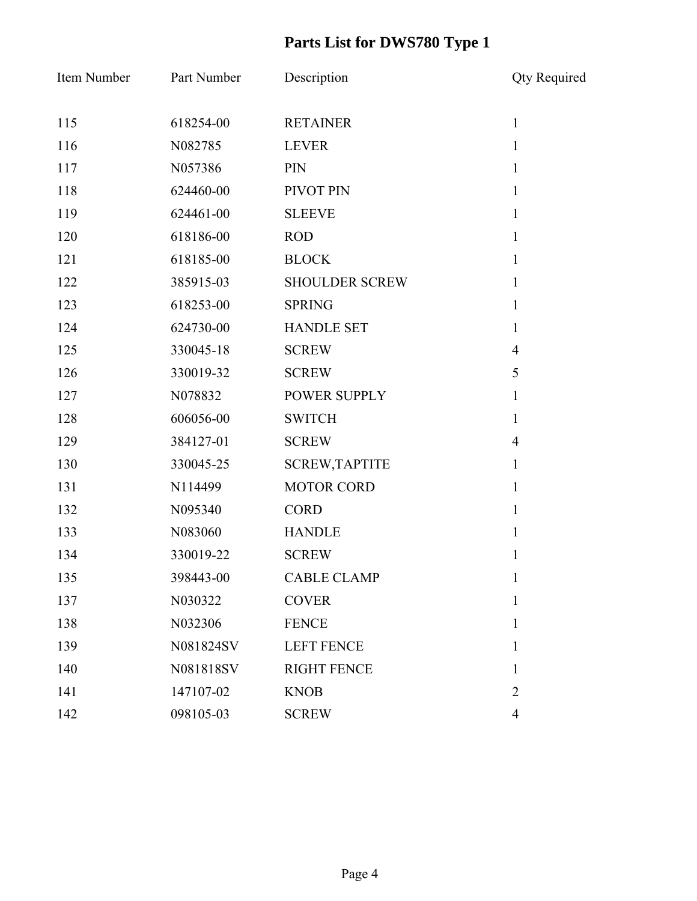| Item Number | Part Number | Description           | <b>Qty Required</b> |
|-------------|-------------|-----------------------|---------------------|
| 115         | 618254-00   | <b>RETAINER</b>       | $\mathbf{1}$        |
| 116         | N082785     | <b>LEVER</b>          | 1                   |
| 117         | N057386     | PIN                   | $\mathbf{1}$        |
| 118         | 624460-00   | PIVOT PIN             | $\mathbf{1}$        |
| 119         | 624461-00   | <b>SLEEVE</b>         | $\mathbf{1}$        |
| 120         | 618186-00   | <b>ROD</b>            | $\mathbf{1}$        |
| 121         | 618185-00   | <b>BLOCK</b>          | $\mathbf{1}$        |
| 122         | 385915-03   | <b>SHOULDER SCREW</b> | $\mathbf{1}$        |
| 123         | 618253-00   | <b>SPRING</b>         | $\mathbf{1}$        |
| 124         | 624730-00   | <b>HANDLE SET</b>     | 1                   |
| 125         | 330045-18   | <b>SCREW</b>          | $\overline{4}$      |
| 126         | 330019-32   | <b>SCREW</b>          | 5                   |
| 127         | N078832     | POWER SUPPLY          | $\mathbf{1}$        |
| 128         | 606056-00   | <b>SWITCH</b>         | $\mathbf{1}$        |
| 129         | 384127-01   | <b>SCREW</b>          | $\overline{4}$      |
| 130         | 330045-25   | <b>SCREW, TAPTITE</b> | $\mathbf{1}$        |
| 131         | N114499     | <b>MOTOR CORD</b>     | $\mathbf{1}$        |
| 132         | N095340     | <b>CORD</b>           | $\mathbf{1}$        |
| 133         | N083060     | <b>HANDLE</b>         | $\mathbf{1}$        |
| 134         | 330019-22   | <b>SCREW</b>          | $\mathbf{1}$        |
| 135         | 398443-00   | <b>CABLE CLAMP</b>    | $\mathbf{I}$        |
| 137         | N030322     | <b>COVER</b>          | $\mathbf{1}$        |
| 138         | N032306     | <b>FENCE</b>          | 1                   |
| 139         | N081824SV   | <b>LEFT FENCE</b>     | $\mathbf{1}$        |
| 140         | N081818SV   | <b>RIGHT FENCE</b>    | 1                   |
| 141         | 147107-02   | <b>KNOB</b>           | $\overline{2}$      |
| 142         | 098105-03   | <b>SCREW</b>          | 4                   |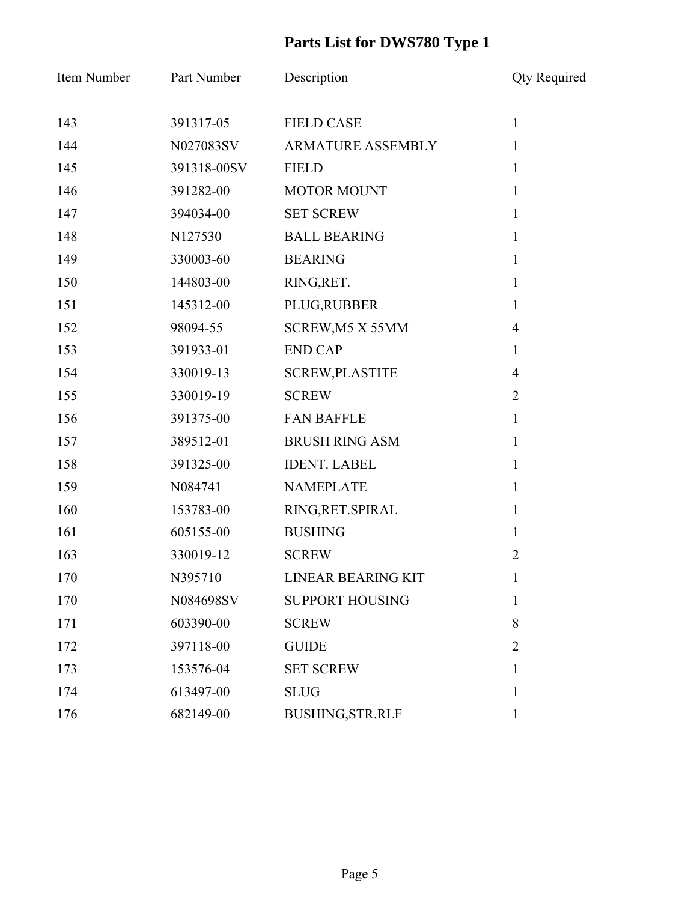| Item Number | Part Number | Description              | <b>Qty Required</b> |
|-------------|-------------|--------------------------|---------------------|
| 143         | 391317-05   | <b>FIELD CASE</b>        | $\mathbf{1}$        |
| 144         | N027083SV   | <b>ARMATURE ASSEMBLY</b> | 1                   |
| 145         | 391318-00SV | <b>FIELD</b>             | 1                   |
| 146         | 391282-00   | <b>MOTOR MOUNT</b>       | $\mathbf{1}$        |
| 147         | 394034-00   | <b>SET SCREW</b>         | $\mathbf{1}$        |
| 148         | N127530     | <b>BALL BEARING</b>      | 1                   |
| 149         | 330003-60   | <b>BEARING</b>           | 1                   |
| 150         | 144803-00   | RING, RET.               | $\mathbf{1}$        |
| 151         | 145312-00   | PLUG,RUBBER              | $\mathbf{1}$        |
| 152         | 98094-55    | SCREW, M5 X 55MM         | $\overline{4}$      |
| 153         | 391933-01   | <b>END CAP</b>           | $\mathbf{1}$        |
| 154         | 330019-13   | <b>SCREW, PLASTITE</b>   | $\overline{4}$      |
| 155         | 330019-19   | <b>SCREW</b>             | $\overline{2}$      |
| 156         | 391375-00   | <b>FAN BAFFLE</b>        | $\mathbf{1}$        |
| 157         | 389512-01   | <b>BRUSH RING ASM</b>    | $\mathbf{1}$        |
| 158         | 391325-00   | <b>IDENT. LABEL</b>      | 1                   |
| 159         | N084741     | <b>NAMEPLATE</b>         | $\mathbf{1}$        |
| 160         | 153783-00   | RING, RET. SPIRAL        | $\mathbf{1}$        |
| 161         | 605155-00   | <b>BUSHING</b>           | $\mathbf{1}$        |
| 163         | 330019-12   | <b>SCREW</b>             | $\overline{2}$      |
| 170         | N395710     | LINEAR BEARING KIT       | 1                   |
| 170         | N084698SV   | <b>SUPPORT HOUSING</b>   | $\mathbf{1}$        |
| 171         | 603390-00   | <b>SCREW</b>             | 8                   |
| 172         | 397118-00   | <b>GUIDE</b>             | $\overline{2}$      |
| 173         | 153576-04   | <b>SET SCREW</b>         | 1                   |
| 174         | 613497-00   | <b>SLUG</b>              | 1                   |
| 176         | 682149-00   | <b>BUSHING, STR. RLF</b> | $\mathbf{1}$        |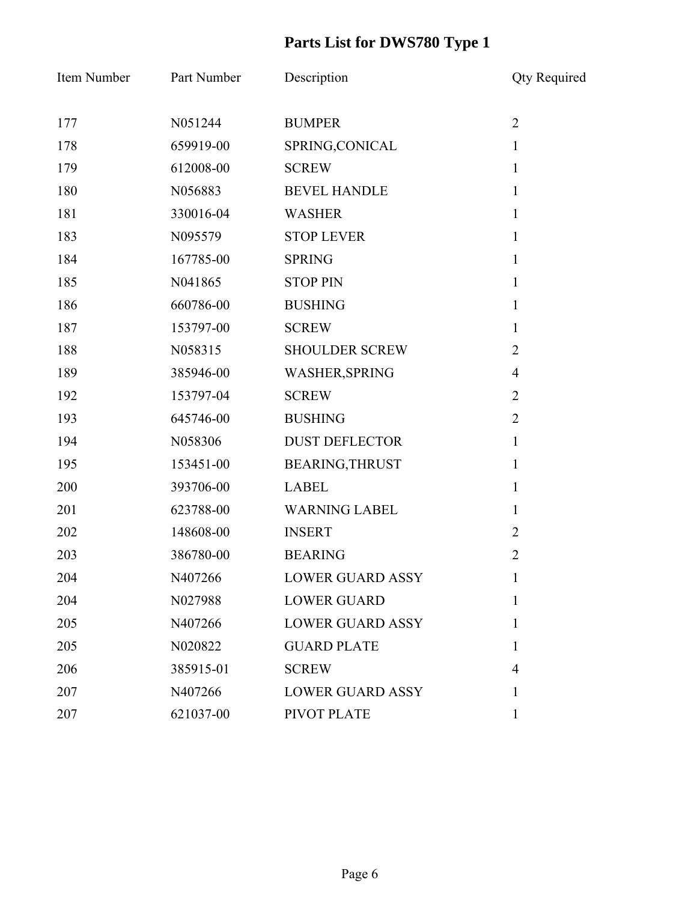| Item Number | Part Number | Description             | <b>Qty Required</b> |
|-------------|-------------|-------------------------|---------------------|
| 177         | N051244     | <b>BUMPER</b>           | $\overline{2}$      |
| 178         | 659919-00   | SPRING, CONICAL         | $\mathbf{1}$        |
| 179         | 612008-00   | <b>SCREW</b>            | 1                   |
| 180         | N056883     | <b>BEVEL HANDLE</b>     | $\mathbf{1}$        |
| 181         | 330016-04   | <b>WASHER</b>           | $\mathbf{1}$        |
| 183         | N095579     | <b>STOP LEVER</b>       | 1                   |
| 184         | 167785-00   | <b>SPRING</b>           | $\mathbf{1}$        |
| 185         | N041865     | <b>STOP PIN</b>         | $\mathbf{1}$        |
| 186         | 660786-00   | <b>BUSHING</b>          | 1                   |
| 187         | 153797-00   | <b>SCREW</b>            | $\mathbf{1}$        |
| 188         | N058315     | <b>SHOULDER SCREW</b>   | $\overline{2}$      |
| 189         | 385946-00   | <b>WASHER, SPRING</b>   | $\overline{4}$      |
| 192         | 153797-04   | <b>SCREW</b>            | $\overline{2}$      |
| 193         | 645746-00   | <b>BUSHING</b>          | $\overline{2}$      |
| 194         | N058306     | <b>DUST DEFLECTOR</b>   | $\mathbf{1}$        |
| 195         | 153451-00   | <b>BEARING, THRUST</b>  | $\mathbf{1}$        |
| 200         | 393706-00   | <b>LABEL</b>            | $\mathbf{1}$        |
| 201         | 623788-00   | <b>WARNING LABEL</b>    | 1                   |
| 202         | 148608-00   | <b>INSERT</b>           | $\overline{2}$      |
| 203         | 386780-00   | <b>BEARING</b>          | $\overline{2}$      |
| 204         | N407266     | <b>LOWER GUARD ASSY</b> | 1                   |
| 204         | N027988     | <b>LOWER GUARD</b>      | 1                   |
| 205         | N407266     | <b>LOWER GUARD ASSY</b> | 1                   |
| 205         | N020822     | <b>GUARD PLATE</b>      | 1                   |
| 206         | 385915-01   | <b>SCREW</b>            | 4                   |
| 207         | N407266     | <b>LOWER GUARD ASSY</b> | 1                   |
| 207         | 621037-00   | PIVOT PLATE             | 1                   |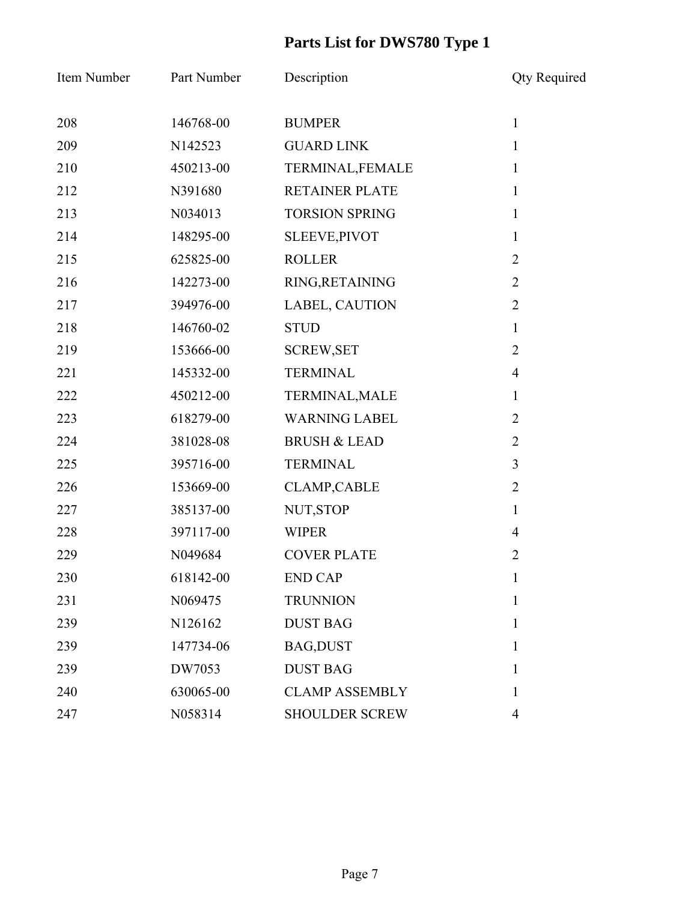| Item Number | Part Number | Description             | <b>Qty Required</b> |
|-------------|-------------|-------------------------|---------------------|
| 208         | 146768-00   | <b>BUMPER</b>           | $\mathbf{1}$        |
| 209         | N142523     | <b>GUARD LINK</b>       | $\mathbf{1}$        |
| 210         | 450213-00   | TERMINAL, FEMALE        | $\mathbf{1}$        |
| 212         | N391680     | <b>RETAINER PLATE</b>   | $\mathbf{1}$        |
| 213         | N034013     | <b>TORSION SPRING</b>   | $\mathbf{1}$        |
| 214         | 148295-00   | SLEEVE, PIVOT           | 1                   |
| 215         | 625825-00   | <b>ROLLER</b>           | $\overline{2}$      |
| 216         | 142273-00   | RING, RETAINING         | $\overline{2}$      |
| 217         | 394976-00   | LABEL, CAUTION          | $\overline{2}$      |
| 218         | 146760-02   | <b>STUD</b>             | $\mathbf{1}$        |
| 219         | 153666-00   | <b>SCREW, SET</b>       | $\overline{2}$      |
| 221         | 145332-00   | <b>TERMINAL</b>         | $\overline{4}$      |
| 222         | 450212-00   | TERMINAL, MALE          | $\mathbf{1}$        |
| 223         | 618279-00   | <b>WARNING LABEL</b>    | $\overline{2}$      |
| 224         | 381028-08   | <b>BRUSH &amp; LEAD</b> | $\overline{2}$      |
| 225         | 395716-00   | <b>TERMINAL</b>         | 3                   |
| 226         | 153669-00   | <b>CLAMP, CABLE</b>     | $\overline{2}$      |
| 227         | 385137-00   | NUT, STOP               | $\mathbf{1}$        |
| 228         | 397117-00   | <b>WIPER</b>            | $\overline{4}$      |
| 229         | N049684     | <b>COVER PLATE</b>      | $\overline{2}$      |
| 230         | 618142-00   | <b>END CAP</b>          | 1                   |
| 231         | N069475     | <b>TRUNNION</b>         | $\mathbf{1}$        |
| 239         | N126162     | <b>DUST BAG</b>         | 1                   |
| 239         | 147734-06   | <b>BAG,DUST</b>         | 1                   |
| 239         | DW7053      | <b>DUST BAG</b>         | 1                   |
| 240         | 630065-00   | <b>CLAMP ASSEMBLY</b>   | 1                   |
| 247         | N058314     | <b>SHOULDER SCREW</b>   | $\overline{4}$      |